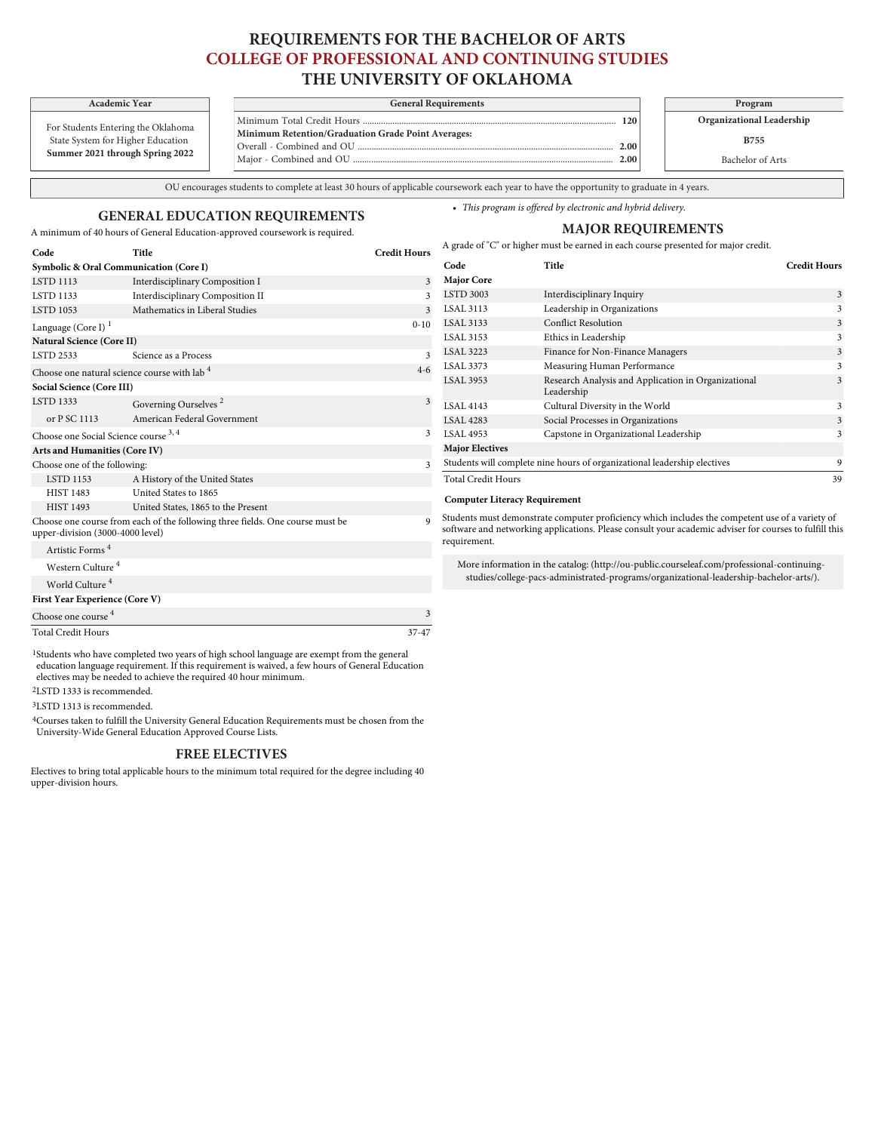## **REQUIREMENTS FOR THE BACHELOR OF ARTS COLLEGE OF PROFESSIONAL AND CONTINUING STUDIES THE UNIVERSITY OF OKLAHOMA**

For Students Entering the Oklahoma

State System for Higher Education **Summer 2021 through Spring 2022**

**Symbolic & Oral Communication (Core I)**

**Academic Year General Requirements Program** Minimum Total Credit Hours ............................................................................................................... **120 Minimum Retention/Graduation Grade Point Averages:** Overall - Combined and OU ................................................................................................................ **2.00** Major - Combined and OU .....

**Organizational Leadership**

**B755**

3

Bachelor of Arts

OU encourages students to complete at least 30 hours of applicable coursework each year to have the opportunity to graduate in 4 years.

### **GENERAL EDUCATION REQUIREMENTS**

**Code Title Credit Hours**

A minimum of 40 hours of General Education-approved coursework is required.

| <b>MAJOR REQUIREMENTS</b>                                                          |       |                     |  |  |
|------------------------------------------------------------------------------------|-------|---------------------|--|--|
| A grade of "C" or higher must be earned in each course presented for major credit. |       |                     |  |  |
| Code                                                                               | Title | <b>Credit Hours</b> |  |  |

• *This program is offered by electronic and hybrid delivery.*

| <b>LSTD 1113</b>                                                                                                  | Interdisciplinary Composition I                         | 3            | <b>Major Core</b>                                                                                                                                                                                                         |                                                                          |    |
|-------------------------------------------------------------------------------------------------------------------|---------------------------------------------------------|--------------|---------------------------------------------------------------------------------------------------------------------------------------------------------------------------------------------------------------------------|--------------------------------------------------------------------------|----|
| <b>LSTD 1133</b>                                                                                                  | Interdisciplinary Composition II                        |              | <b>LSTD 3003</b>                                                                                                                                                                                                          | Interdisciplinary Inquiry                                                | 3  |
| <b>LSTD 1053</b>                                                                                                  | Mathematics in Liberal Studies                          | 3            | <b>LSAL 3113</b>                                                                                                                                                                                                          | Leadership in Organizations                                              |    |
| Language (Core I) $1$                                                                                             |                                                         | $0 - 10$     | <b>LSAL 3133</b>                                                                                                                                                                                                          | <b>Conflict Resolution</b>                                               |    |
| <b>Natural Science (Core II)</b>                                                                                  |                                                         |              | <b>LSAL 3153</b>                                                                                                                                                                                                          | Ethics in Leadership                                                     |    |
| <b>LSTD 2533</b>                                                                                                  | Science as a Process                                    | $\mathbf{3}$ | <b>LSAL 3223</b>                                                                                                                                                                                                          | Finance for Non-Finance Managers                                         |    |
|                                                                                                                   | Choose one natural science course with lab <sup>4</sup> | $4 - 6$      | <b>LSAL 3373</b>                                                                                                                                                                                                          | Measuring Human Performance                                              |    |
| Social Science (Core III)                                                                                         |                                                         |              | <b>LSAL 3953</b>                                                                                                                                                                                                          | Research Analysis and Application in Organizational<br>Leadership        |    |
| <b>LSTD 1333</b>                                                                                                  | Governing Ourselves <sup>2</sup>                        | 3            | <b>LSAL 4143</b>                                                                                                                                                                                                          | Cultural Diversity in the World                                          |    |
| or P SC 1113                                                                                                      | American Federal Government                             |              | <b>LSAL 4283</b>                                                                                                                                                                                                          | Social Processes in Organizations                                        |    |
| Choose one Social Science course 3, 4                                                                             |                                                         |              | <b>LSAL 4953</b>                                                                                                                                                                                                          | Capstone in Organizational Leadership                                    |    |
| Arts and Humanities (Core IV)                                                                                     |                                                         |              | <b>Major Electives</b>                                                                                                                                                                                                    |                                                                          |    |
| Choose one of the following:                                                                                      |                                                         |              |                                                                                                                                                                                                                           | Students will complete nine hours of organizational leadership electives | 9  |
| <b>LSTD 1153</b>                                                                                                  | A History of the United States                          |              | <b>Total Credit Hours</b>                                                                                                                                                                                                 |                                                                          | 39 |
| <b>HIST 1483</b>                                                                                                  | United States to 1865                                   |              |                                                                                                                                                                                                                           | <b>Computer Literacy Requirement</b>                                     |    |
| <b>HIST 1493</b>                                                                                                  | United States, 1865 to the Present                      |              |                                                                                                                                                                                                                           |                                                                          |    |
| Choose one course from each of the following three fields. One course must be<br>upper-division (3000-4000 level) |                                                         |              | Students must demonstrate computer proficiency which includes the competent use of a variety of<br>software and networking applications. Please consult your academic adviser for courses to fulfill this<br>requirement. |                                                                          |    |
| Artistic Forms <sup>4</sup>                                                                                       |                                                         |              |                                                                                                                                                                                                                           |                                                                          |    |
| Western Culture <sup>4</sup>                                                                                      |                                                         |              | More information in the catalog: (http://ou-public.courseleaf.com/professional-continuing-<br>studies/college-pacs-administrated-programs/organizational-leadership-bachelor-arts/).                                      |                                                                          |    |
| World Culture <sup>4</sup>                                                                                        |                                                         |              |                                                                                                                                                                                                                           |                                                                          |    |
| First Year Experience (Core V)                                                                                    |                                                         |              |                                                                                                                                                                                                                           |                                                                          |    |
| Choose one course <sup>4</sup>                                                                                    |                                                         | 3            |                                                                                                                                                                                                                           |                                                                          |    |

Total Credit Hours 37-47

1Students who have completed two years of high school language are exempt from the general education language requirement. If this requirement is waived, a few hours of General Education electives may be needed to achieve the required 40 hour minimum.

2LSTD 1333 is recommended.

3LSTD 1313 is recommended.

4Courses taken to fulfill the University General Education Requirements must be chosen from the University-Wide General Education Approved Course Lists.

#### **FREE ELECTIVES**

Electives to bring total applicable hours to the minimum total required for the degree including 40 upper-division hours.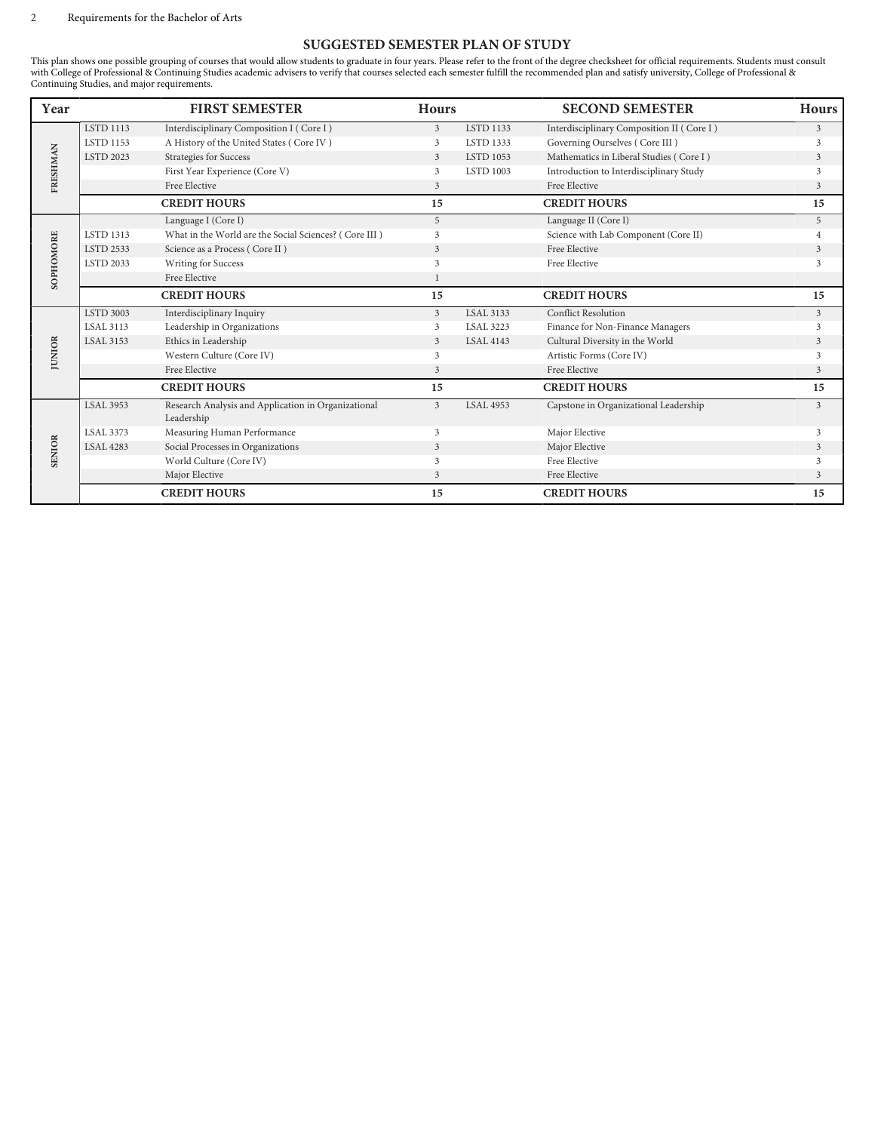# **SUGGESTED SEMESTER PLAN OF STUDY**

This plan shows one possible grouping of courses that would allow students to graduate in four years. Please refer to the front of the degree checksheet for official requirements. Students must consult with College of Professional & Continuing Studies academic advisers to verify that courses selected each semester fulfill the recommended plan and satisfy university, College of Professional & Continuing Studies, and major requirements.

| Year          |                  | <b>FIRST SEMESTER</b>                                             | <b>Hours</b>   |                  | <b>SECOND SEMESTER</b>                    | <b>Hours</b> |
|---------------|------------------|-------------------------------------------------------------------|----------------|------------------|-------------------------------------------|--------------|
|               | <b>LSTD 1113</b> | Interdisciplinary Composition I (Core I)                          | 3              | <b>LSTD 1133</b> | Interdisciplinary Composition II (Core I) | 3            |
|               | <b>LSTD 1153</b> | A History of the United States (Core IV)                          | 3              | LSTD 1333        | Governing Ourselves (Core III)            | 3            |
|               | <b>LSTD 2023</b> | Strategies for Success                                            | 3              | <b>LSTD 1053</b> | Mathematics in Liberal Studies (Core I)   | 3            |
|               |                  | First Year Experience (Core V)                                    | 3              | <b>LSTD 1003</b> | Introduction to Interdisciplinary Study   | 3            |
| FRESHMAN      |                  | Free Elective                                                     | 3              |                  | Free Elective                             | 3            |
|               |                  | <b>CREDIT HOURS</b>                                               | 15             |                  | <b>CREDIT HOURS</b>                       | 15           |
|               |                  | Language I (Core I)                                               | 5              |                  | Language II (Core I)                      | 5            |
|               | <b>LSTD 1313</b> | What in the World are the Social Sciences? (Core III)             | 3              |                  | Science with Lab Component (Core II)      |              |
|               | <b>LSTD 2533</b> | Science as a Process (Core II)                                    | 3              |                  | Free Elective                             | 3            |
| SOPHOMORE     | <b>LSTD 2033</b> | <b>Writing for Success</b>                                        | 3              |                  | Free Elective                             | 3            |
|               |                  | Free Elective                                                     |                |                  |                                           |              |
|               |                  | <b>CREDIT HOURS</b>                                               | 15             |                  | <b>CREDIT HOURS</b>                       | 15           |
| <b>JUNIOR</b> | <b>LSTD 3003</b> | Interdisciplinary Inquiry                                         | $\mathfrak{Z}$ | <b>LSAL 3133</b> | <b>Conflict Resolution</b>                | $\mathbf{3}$ |
|               | <b>LSAL 3113</b> | Leadership in Organizations                                       | 3              | <b>LSAL 3223</b> | Finance for Non-Finance Managers          | $\mathbf{3}$ |
|               | <b>LSAL 3153</b> | Ethics in Leadership                                              | 3              | <b>LSAL 4143</b> | Cultural Diversity in the World           | 3            |
|               |                  | Western Culture (Core IV)                                         | 3              |                  | Artistic Forms (Core IV)                  | $\mathbf{3}$ |
|               |                  | Free Elective                                                     | 3              |                  | Free Elective                             | 3            |
|               |                  | <b>CREDIT HOURS</b>                                               | 15             |                  | <b>CREDIT HOURS</b>                       | 15           |
| <b>SENIOR</b> | <b>LSAL 3953</b> | Research Analysis and Application in Organizational<br>Leadership | 3              | <b>LSAL 4953</b> | Capstone in Organizational Leadership     | 3            |
|               | <b>LSAL 3373</b> | Measuring Human Performance                                       | 3              |                  | Major Elective                            | 3            |
|               | <b>LSAL 4283</b> | Social Processes in Organizations                                 | 3              |                  | Major Elective                            | 3            |
|               |                  | World Culture (Core IV)                                           | 3              |                  | Free Elective                             | 3            |
|               |                  | Major Elective                                                    | 3              |                  | Free Elective                             | 3            |
|               |                  | <b>CREDIT HOURS</b>                                               | 15             |                  | <b>CREDIT HOURS</b>                       | 15           |